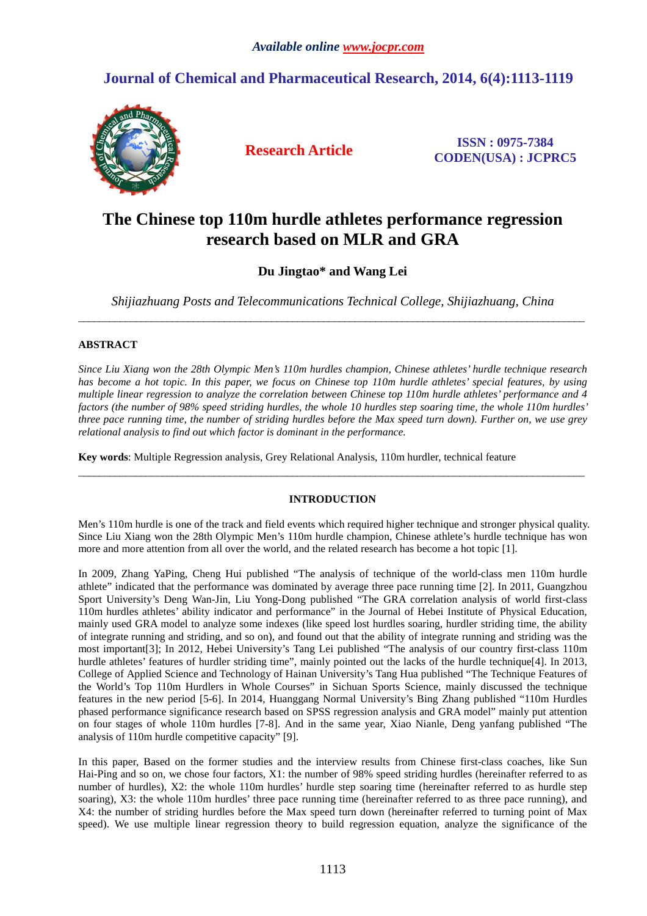# **Journal of Chemical and Pharmaceutical Research, 2014, 6(4):1113-1119**



**Research Article ISSN : 0975-7384 CODEN(USA) : JCPRC5**

# **The Chinese top 110m hurdle athletes performance regression research based on MLR and GRA**

**Du Jingtao\* and Wang Lei** 

*Shijiazhuang Posts and Telecommunications Technical College, Shijiazhuang, China*  \_\_\_\_\_\_\_\_\_\_\_\_\_\_\_\_\_\_\_\_\_\_\_\_\_\_\_\_\_\_\_\_\_\_\_\_\_\_\_\_\_\_\_\_\_\_\_\_\_\_\_\_\_\_\_\_\_\_\_\_\_\_\_\_\_\_\_\_\_\_\_\_\_\_\_\_\_\_\_\_\_\_\_\_\_\_\_\_\_\_\_\_\_\_\_\_\_

## **ABSTRACT**

*Since Liu Xiang won the 28th Olympic Men's 110m hurdles champion, Chinese athletes' hurdle technique research has become a hot topic. In this paper, we focus on Chinese top 110m hurdle athletes' special features, by using multiple linear regression to analyze the correlation between Chinese top 110m hurdle athletes' performance and 4 factors (the number of 98% speed striding hurdles, the whole 10 hurdles step soaring time, the whole 110m hurdles' three pace running time, the number of striding hurdles before the Max speed turn down). Further on, we use grey relational analysis to find out which factor is dominant in the performance.* 

**Key words**: Multiple Regression analysis, Grey Relational Analysis, 110m hurdler, technical feature

### **INTRODUCTION**

\_\_\_\_\_\_\_\_\_\_\_\_\_\_\_\_\_\_\_\_\_\_\_\_\_\_\_\_\_\_\_\_\_\_\_\_\_\_\_\_\_\_\_\_\_\_\_\_\_\_\_\_\_\_\_\_\_\_\_\_\_\_\_\_\_\_\_\_\_\_\_\_\_\_\_\_\_\_\_\_\_\_\_\_\_\_\_\_\_\_\_\_\_\_\_\_\_

Men's 110m hurdle is one of the track and field events which required higher technique and stronger physical quality. Since Liu Xiang won the 28th Olympic Men's 110m hurdle champion, Chinese athlete's hurdle technique has won more and more attention from all over the world, and the related research has become a hot topic [1].

In 2009, Zhang YaPing, Cheng Hui published "The analysis of technique of the world-class men 110m hurdle athlete" indicated that the performance was dominated by average three pace running time [2]. In 2011, Guangzhou Sport University's Deng Wan-Jin, Liu Yong-Dong published "The GRA correlation analysis of world first-class 110m hurdles athletes' ability indicator and performance" in the Journal of Hebei Institute of Physical Education, mainly used GRA model to analyze some indexes (like speed lost hurdles soaring, hurdler striding time, the ability of integrate running and striding, and so on), and found out that the ability of integrate running and striding was the most important[3]; In 2012, Hebei University's Tang Lei published "The analysis of our country first-class 110m hurdle athletes' features of hurdler striding time", mainly pointed out the lacks of the hurdle technique<sup>[4]</sup>. In 2013, College of Applied Science and Technology of Hainan University's Tang Hua published "The Technique Features of the World's Top 110m Hurdlers in Whole Courses" in Sichuan Sports Science, mainly discussed the technique features in the new period [5-6]. In 2014, Huanggang Normal University's Bing Zhang published "110m Hurdles phased performance significance research based on SPSS regression analysis and GRA model" mainly put attention on four stages of whole 110m hurdles [7-8]. And in the same year, Xiao Nianle, Deng yanfang published "The analysis of 110m hurdle competitive capacity" [9].

In this paper, Based on the former studies and the interview results from Chinese first-class coaches, like Sun Hai-Ping and so on, we chose four factors, X1: the number of 98% speed striding hurdles (hereinafter referred to as number of hurdles), X2: the whole 110m hurdles' hurdle step soaring time (hereinafter referred to as hurdle step soaring), X3: the whole 110m hurdles' three pace running time (hereinafter referred to as three pace running), and X4: the number of striding hurdles before the Max speed turn down (hereinafter referred to turning point of Max speed). We use multiple linear regression theory to build regression equation, analyze the significance of the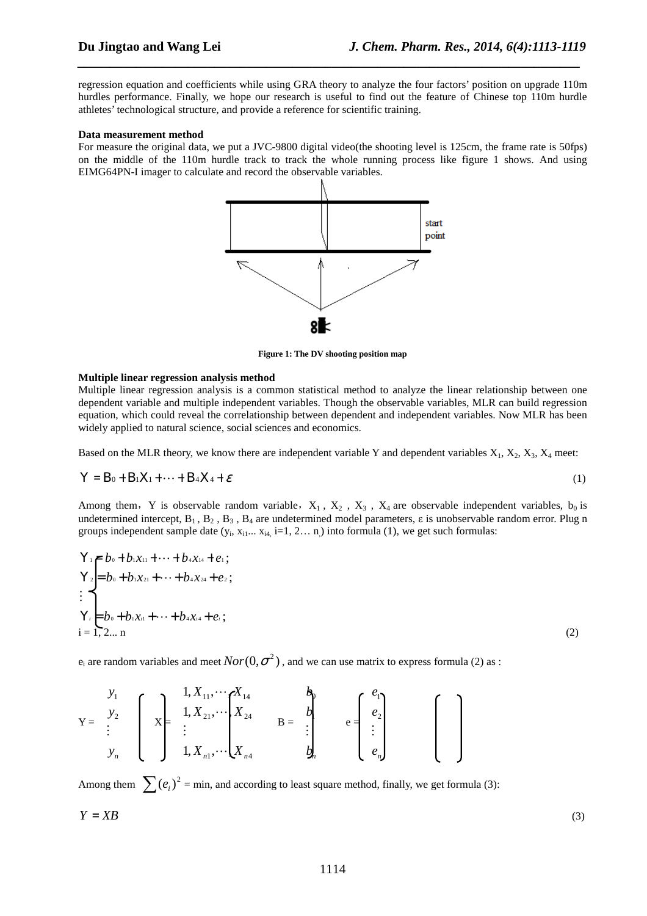regression equation and coefficients while using GRA theory to analyze the four factors' position on upgrade 110m hurdles performance. Finally, we hope our research is useful to find out the feature of Chinese top 110m hurdle athletes' technological structure, and provide a reference for scientific training.

*\_\_\_\_\_\_\_\_\_\_\_\_\_\_\_\_\_\_\_\_\_\_\_\_\_\_\_\_\_\_\_\_\_\_\_\_\_\_\_\_\_\_\_\_\_\_\_\_\_\_\_\_\_\_\_\_\_\_\_\_\_\_\_\_\_\_\_\_\_\_\_\_\_\_\_\_\_*

### **Data measurement method**

For measure the original data, we put a JVC-9800 digital video(the shooting level is 125cm, the frame rate is 50fps) on the middle of the 110m hurdle track to track the whole running process like figure 1 shows. And using EIMG64PN-I imager to calculate and record the observable variables.



**Figure 1: The DV shooting position map** 

### **Multiple linear regression analysis method**

Multiple linear regression analysis is a common statistical method to analyze the linear relationship between one dependent variable and multiple independent variables. Though the observable variables, MLR can build regression equation, which could reveal the correlationship between dependent and independent variables. Now MLR has been widely applied to natural science, social sciences and economics.

Based on the MLR theory, we know there are independent variable Y and dependent variables  $X_1, X_2, X_3, X_4$  meet:

$$
Y = B_0 + B_1 X_1 + \dots + B_4 X_4 + \varepsilon \tag{1}
$$

Among them, Y is observable random variable,  $X_1$ ,  $X_2$ ,  $X_3$ ,  $X_4$  are observable independent variables,  $b_0$  is undetermined intercept,  $B_1$ ,  $B_2$ ,  $B_3$ ,  $B_4$  are undetermined model parameters,  $\varepsilon$  is unobservable random error. Plug n groups independent sample date  $(y_i, x_{i1}... x_{i4}$ , i=1, 2... n) into formula (1), we get such formulas:

$$
Y_{1} = b_{0} + b_{1}x_{11} + \cdots + b_{4}x_{14} + e_{1};
$$
\n
$$
Y_{2} = b_{0} + b_{1}x_{21} + \cdots + b_{4}x_{24} + e_{2};
$$
\n
$$
\vdots
$$
\n
$$
Y_{i} = b_{0} + b_{1}x_{i1} + \cdots + b_{4}x_{i4} + e_{i};
$$
\n
$$
i = 1, 2, \ldots n
$$
\n(2)

 ${\rm e}_{\rm i}$  are random variables and meet  $Nor(0,\sigma^2)$  , and we can use matrix to express formula (2) as :

$$
Y = \begin{bmatrix} y_1 \\ y_2 \\ \vdots \\ y_n \end{bmatrix} \begin{bmatrix} 1, X_{11}, \cdots X_{14} \\ X_{21}, \cdots \begin{bmatrix} X_{14} \\ X_{24} \\ \vdots \\ X_{n4} \end{bmatrix} \end{bmatrix} \quad B = \begin{bmatrix} b_1 \\ b_2 \\ \vdots \\ b_n \end{bmatrix} \quad e = \begin{bmatrix} e_1 \\ e_2 \\ \vdots \\ e_n \end{bmatrix}
$$

Among them  $\sum (e_i)^2$  = min, and according to least square method, finally, we get formula (3):  $Y = XB$  (3)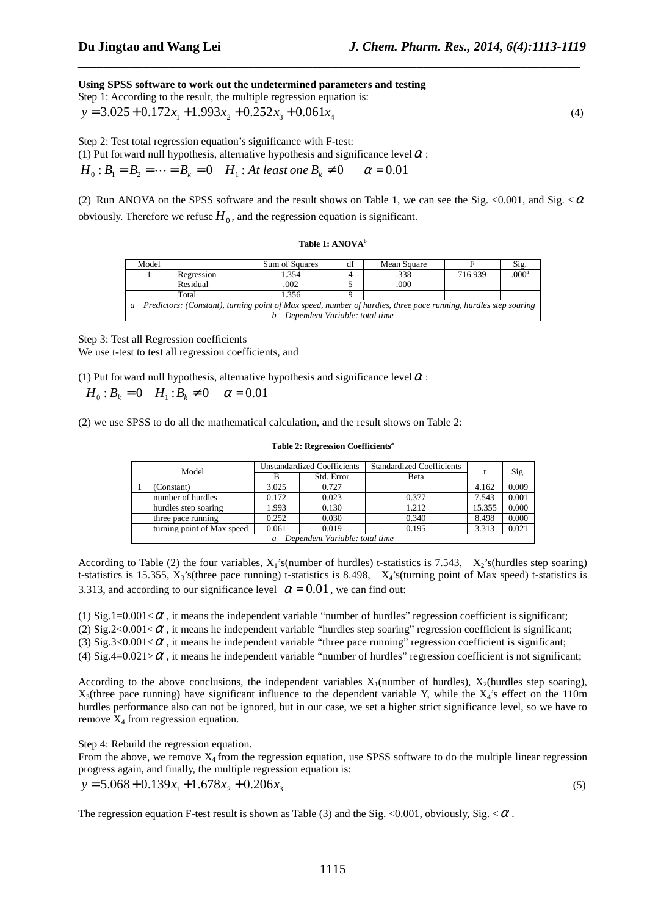**Using SPSS software to work out the undetermined parameters and testing** 

Step 1: According to the result, the multiple regression equation is:  
\n
$$
y = 3.025 + 0.172x_1 + 1.993x_2 + 0.252x_3 + 0.061x_4
$$
\n(4)

*\_\_\_\_\_\_\_\_\_\_\_\_\_\_\_\_\_\_\_\_\_\_\_\_\_\_\_\_\_\_\_\_\_\_\_\_\_\_\_\_\_\_\_\_\_\_\_\_\_\_\_\_\_\_\_\_\_\_\_\_\_\_\_\_\_\_\_\_\_\_\_\_\_\_\_\_\_*

Step 2: Test total regression equation's significance with F-test:

(1) Put forward null hypothesis, alternative hypothesis and significance level  $\alpha$  :

 $H_0: B_1 = B_2 = \cdots = B_k = 0$   $H_1: At least one B_k \neq 0$   $\alpha = 0.01$ 

(2) Run ANOVA on the SPSS software and the result shows on Table 1, we can see the Sig. <0.001, and Sig.  $\lt \alpha$ obviously. Therefore we refuse  $H_0$ , and the regression equation is significant.

### **Table 1: ANOVA<sup>b</sup>**

| Model                                                                                                                             |            | Sum of Squares | df | Mean Square |         | Sig.              |
|-----------------------------------------------------------------------------------------------------------------------------------|------------|----------------|----|-------------|---------|-------------------|
|                                                                                                                                   | Regression | 354            |    | .338        | 716.939 | .000 <sup>a</sup> |
|                                                                                                                                   | Residual   | .002           |    | .000        |         |                   |
|                                                                                                                                   | Total      | 1.356          |    |             |         |                   |
| Predictors: (Constant), turning point of Max speed, number of hurdles, three pace running, hurdles step soaring<br>$\mathfrak{a}$ |            |                |    |             |         |                   |
| Dependent Variable: total time                                                                                                    |            |                |    |             |         |                   |

Step 3: Test all Regression coefficients We use t-test to test all regression coefficients, and

(1) Put forward null hypothesis, alternative hypothesis and significance level  $\alpha$ :

## $H_0: B_k = 0$   $H_1: B_k \neq 0$   $\alpha = 0.01$

(2) we use SPSS to do all the mathematical calculation, and the result shows on Table 2:

### **Table 2: Regression Coefficients<sup>a</sup>**

| Model                          |                            | <b>Unstandardized Coefficients</b> |            | <b>Standardized Coefficients</b> |        |       |
|--------------------------------|----------------------------|------------------------------------|------------|----------------------------------|--------|-------|
|                                |                            |                                    | Std. Error | Beta                             |        | Sig.  |
|                                | (Constant)                 | 3.025                              | 0.727      |                                  | 4.162  | 0.009 |
|                                | number of hurdles          | 0.172                              | 0.023      | 0.377                            | 7.543  | 0.001 |
|                                | hurdles step soaring       | 1.993                              | 0.130      | 1.212                            | 15.355 | 0.000 |
|                                | three pace running         | 0.252                              | 0.030      | 0.340                            | 8.498  | 0.000 |
|                                | turning point of Max speed | 0.061                              | 0.019      | 0.195                            | 3.313  | 0.021 |
| Dependent Variable: total time |                            |                                    |            |                                  |        |       |

According to Table (2) the four variables,  $X_1$ 's(number of hurdles) t-statistics is 7.543,  $X_2$ 's(hurdles step soaring) t-statistics is 15.355, X3's(three pace running) t-statistics is 8.498, X4's(turning point of Max speed) t-statistics is 3.313, and according to our significance level  $\alpha = 0.01$ , we can find out:

(1) Sig.1=0.001< $\alpha$ , it means the independent variable "number of hurdles" regression coefficient is significant; (2) Sig.2<0.001< $\alpha$ , it means he independent variable "hurdles step soaring" regression coefficient is significant;

(3) Sig.3<0.001< $\alpha$ , it means he independent variable "three pace running" regression coefficient is significant;

(4) Sig.4=0.021> $\alpha$ , it means he independent variable "number of hurdles" regression coefficient is not significant;

According to the above conclusions, the independent variables  $X_1$ (number of hurdles),  $X_2$ (hurdles step soaring),  $X_3$ (three pace running) have significant influence to the dependent variable Y, while the  $X_4$ 's effect on the 110m hurdles performance also can not be ignored, but in our case, we set a higher strict significance level, so we have to remove  $X_4$  from regression equation.

Step 4: Rebuild the regression equation.

From the above, we remove  $X_4$  from the regression equation, use SPSS software to do the multiple linear regression progress again, and finally, the multiple regression equation is:

 $y = 5.068 + 0.139x_1 + 1.678x_2 + 0.206x_3$  (5)

The regression equation F-test result is shown as Table (3) and the Sig.  $\langle 0.001,$  obviously, Sig.  $\langle \alpha \rangle$ .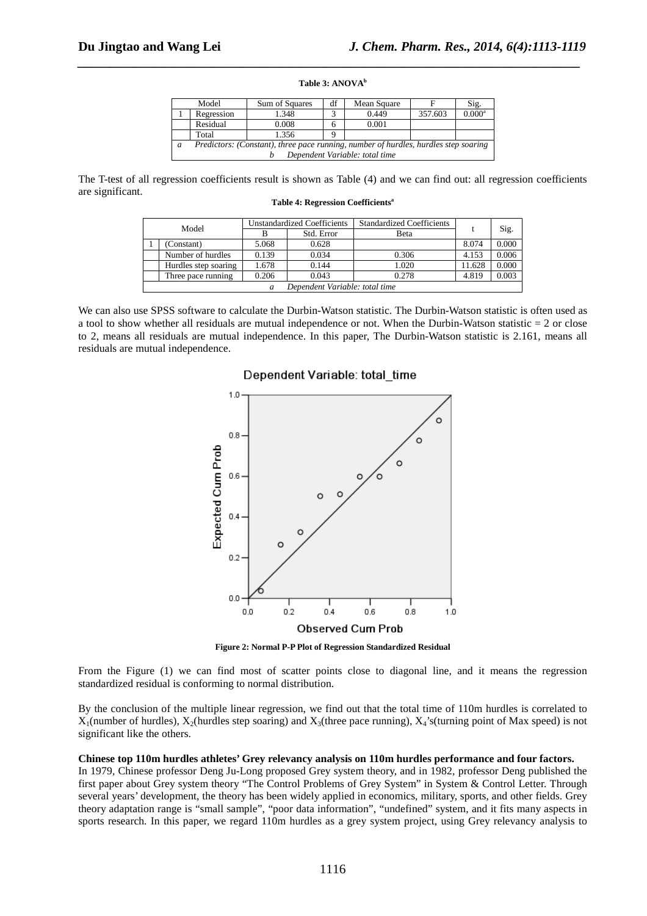# *\_\_\_\_\_\_\_\_\_\_\_\_\_\_\_\_\_\_\_\_\_\_\_\_\_\_\_\_\_\_\_\_\_\_\_\_\_\_\_\_\_\_\_\_\_\_\_\_\_\_\_\_\_\_\_\_\_\_\_\_\_\_\_\_\_\_\_\_\_\_\_\_\_\_\_\_\_* **Table 3: ANOVA<sup>b</sup>**

|                                | Model                                                                               | Sum of Squares | df | Mean Square |         | Sig.            |  |
|--------------------------------|-------------------------------------------------------------------------------------|----------------|----|-------------|---------|-----------------|--|
|                                | Regression                                                                          | .348           |    | 0.449       | 357.603 | $0.000^{\rm a}$ |  |
|                                | Residual                                                                            | 0.008          | h  | 0.001       |         |                 |  |
|                                | Total                                                                               | 1.356          |    |             |         |                 |  |
| a                              | Predictors: (Constant), three pace running, number of hurdles, hurdles step soaring |                |    |             |         |                 |  |
| Dependent Variable: total time |                                                                                     |                |    |             |         |                 |  |

The T-test of all regression coefficients result is shown as Table (4) and we can find out: all regression coefficients are significant.

| Model |                                |       | <b>Unstandardized Coefficients</b> | <b>Standardized Coefficients</b> |        |       |  |
|-------|--------------------------------|-------|------------------------------------|----------------------------------|--------|-------|--|
|       |                                |       | Std. Error                         | Beta                             |        | Sig.  |  |
|       | (Constant)                     | 5.068 | 0.628                              |                                  | 8.074  | 0.000 |  |
|       | Number of hurdles              | 0.139 | 0.034                              | 0.306                            | 4.153  | 0.006 |  |
|       | Hurdles step soaring           | 1.678 | 0.144                              | 1.020                            | 11.628 | 0.000 |  |
|       | Three pace running             | 0.206 | 0.043                              | 0.278                            | 4.819  | 0.003 |  |
|       | Dependent Variable: total time |       |                                    |                                  |        |       |  |

**Table 4: Regression Coefficients<sup>a</sup>**

We can also use SPSS software to calculate the Durbin-Watson statistic. The Durbin-Watson statistic is often used as a tool to show whether all residuals are mutual independence or not. When the Durbin-Watson statistic  $= 2$  or close to 2, means all residuals are mutual independence. In this paper, The Durbin-Watson statistic is 2.161, means all residuals are mutual independence.

### Dependent Variable: total time



**Figure 2: Normal P-P Plot of Regression Standardized Residual** 

From the Figure (1) we can find most of scatter points close to diagonal line, and it means the regression standardized residual is conforming to normal distribution.

By the conclusion of the multiple linear regression, we find out that the total time of 110m hurdles is correlated to  $X_1$ (number of hurdles),  $X_2$ (hurdles step soaring) and  $X_3$ (three pace running),  $X_4$ 's(turning point of Max speed) is not significant like the others.

### **Chinese top 110m hurdles athletes' Grey relevancy analysis on 110m hurdles performance and four factors.**

In 1979, Chinese professor Deng Ju-Long proposed Grey system theory, and in 1982, professor Deng published the first paper about Grey system theory "The Control Problems of Grey System" in System & Control Letter. Through several years' development, the theory has been widely applied in economics, military, sports, and other fields. Grey theory adaptation range is "small sample", "poor data information", "undefined" system, and it fits many aspects in sports research. In this paper, we regard 110m hurdles as a grey system project, using Grey relevancy analysis to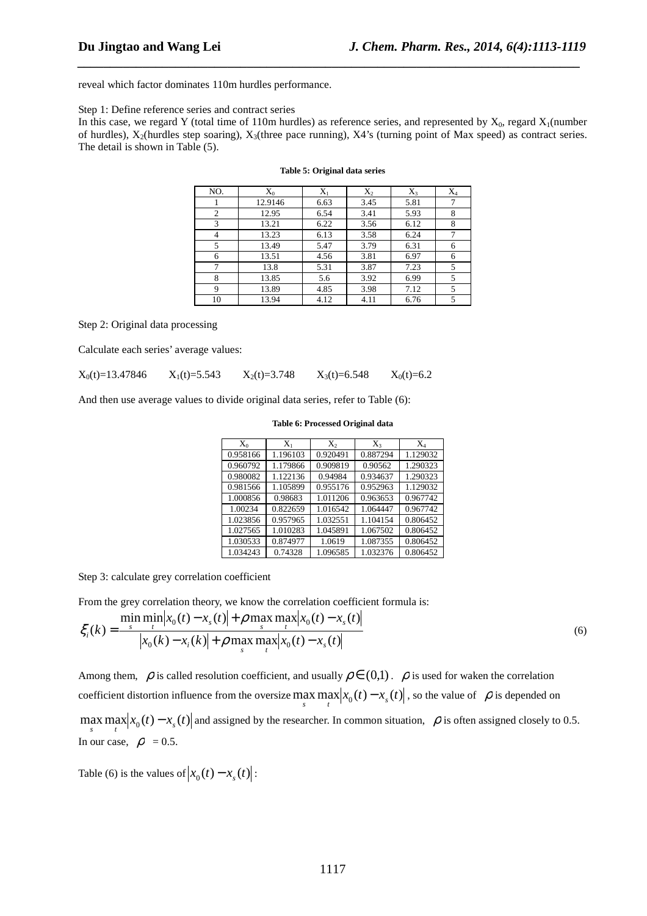reveal which factor dominates 110m hurdles performance.

### Step 1: Define reference series and contract series

In this case, we regard Y (total time of 110m hurdles) as reference series, and represented by  $X_0$ , regard  $X_1$ (number of hurdles),  $X_2$ (hurdles step soaring),  $X_3$ (three pace running),  $X_4$ 's (turning point of Max speed) as contract series. The detail is shown in Table (5).

*\_\_\_\_\_\_\_\_\_\_\_\_\_\_\_\_\_\_\_\_\_\_\_\_\_\_\_\_\_\_\_\_\_\_\_\_\_\_\_\_\_\_\_\_\_\_\_\_\_\_\_\_\_\_\_\_\_\_\_\_\_\_\_\_\_\_\_\_\_\_\_\_\_\_\_\_\_*

| NO.            | $X_0$   | $X_1$ | $X_2$ | $X_3$ | $X_4$ |
|----------------|---------|-------|-------|-------|-------|
|                | 12.9146 | 6.63  | 3.45  | 5.81  | 7     |
| $\overline{2}$ | 12.95   | 6.54  | 3.41  | 5.93  | 8     |
| 3              | 13.21   | 6.22  | 3.56  | 6.12  | 8     |
| 4              | 13.23   | 6.13  | 3.58  | 6.24  |       |
| 5              | 13.49   | 5.47  | 3.79  | 6.31  | 6     |
| 6              | 13.51   | 4.56  | 3.81  | 6.97  | 6     |
| 7              | 13.8    | 5.31  | 3.87  | 7.23  | 5     |
| 8              | 13.85   | 5.6   | 3.92  | 6.99  | 5     |
| 9              | 13.89   | 4.85  | 3.98  | 7.12  | 5     |
| 10             | 13.94   | 4.12  | 4.11  | 6.76  | 5     |

### **Table 5: Original data series**

Step 2: Original data processing

Calculate each series' average values:

 $X_0(t)=13.47846$   $X_1(t)=5.543$   $X_2(t)=3.748$   $X_3(t)=6.548$   $X_0(t)=6.2$ 

And then use average values to divide original data series, refer to Table (6):

| $X_0$    | $X_1$    | $X_{2}$  | $X_3$    | $X_4$    |
|----------|----------|----------|----------|----------|
| 0.958166 | 1.196103 | 0.920491 | 0.887294 | 1.129032 |
| 0.960792 | 1.179866 | 0.909819 | 0.90562  | 1.290323 |
| 0.980082 | 1.122136 | 0.94984  | 0.934637 | 1.290323 |
| 0.981566 | 1.105899 | 0.955176 | 0.952963 | 1.129032 |
| 1.000856 | 0.98683  | 1.011206 | 0.963653 | 0.967742 |
| 1.00234  | 0.822659 | 1.016542 | 1.064447 | 0.967742 |
| 1.023856 | 0.957965 | 1.032551 | 1.104154 | 0.806452 |
| 1.027565 | 1.010283 | 1.045891 | 1.067502 | 0.806452 |
| 1.030533 | 0.874977 | 1.0619   | 1.087355 | 0.806452 |
| 1.034243 | 0.74328  | 1.096585 | 1.032376 | 0.806452 |

#### **Table 6: Processed Original data**

Step 3: calculate grey correlation coefficient

From the grey correlation theory, we know the correlation coefficient formula is:

$$
\xi_i(k) = \frac{\min_{s} \min_{t} |x_0(t) - x_s(t)| + \rho \max_{s} \max_{t} |x_0(t) - x_s(t)|}{|x_0(k) - x_i(k)| + \rho \max_{s} \max_{t} |x_0(t) - x_s(t)|}
$$
\n(6)

Among them,  $\rho$  is called resolution coefficient, and usually  $\rho \in (0,1)$ .  $\rho$  is used for waken the correlation coefficient distortion influence from the oversize  $\max_s \max_t |x_0(t) - x_s(t)|$ , so the value of  $\rho$  is depended on  $\max_{s} \max_{t} |x_0(t) - x_s(t)|$  and assigned by the researcher. In common situation,  $\rho$  is often assigned closely to 0.5.

Table (6) is the values of  $|x_0(t) - x_s(t)|$ :

In our case,  $\rho = 0.5$ .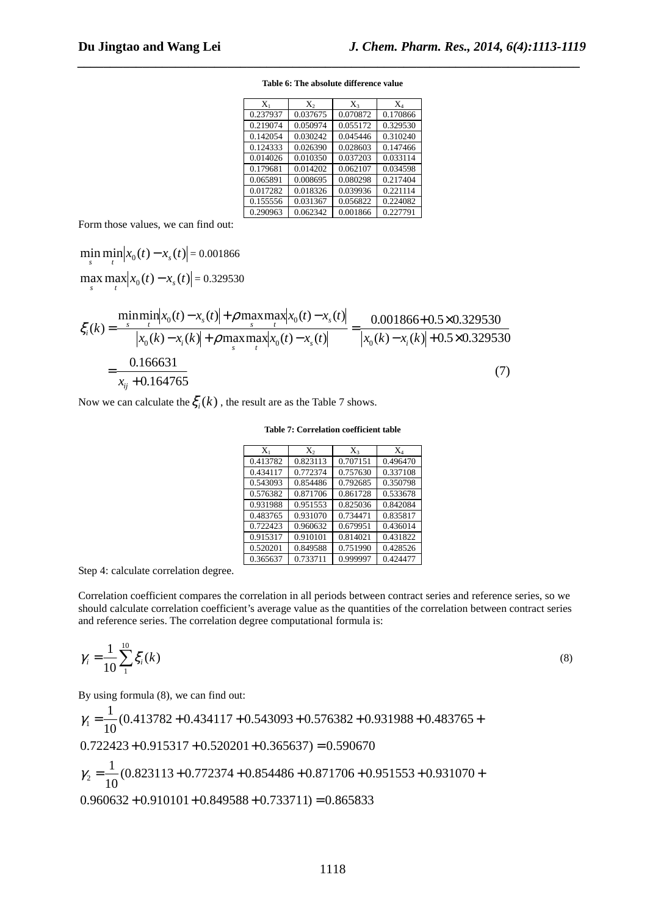| $X_1$    | $X_{2}$  | $X_3$    | $\rm X_4$ |
|----------|----------|----------|-----------|
| 0.237937 | 0.037675 | 0.070872 | 0.170866  |
| 0.219074 | 0.050974 | 0.055172 | 0.329530  |
| 0.142054 | 0.030242 | 0.045446 | 0.310240  |
| 0.124333 | 0.026390 | 0.028603 | 0.147466  |
| 0.014026 | 0.010350 | 0.037203 | 0.033114  |
| 0.179681 | 0.014202 | 0.062107 | 0.034598  |
| 0.065891 | 0.008695 | 0.080298 | 0.217404  |
| 0.017282 | 0.018326 | 0.039936 | 0.221114  |
| 0.155556 | 0.031367 | 0.056822 | 0.224082  |
| 0.290963 | 0.062342 | 0.001866 | 0.227791  |

**Table 6: The absolute difference value** 

*\_\_\_\_\_\_\_\_\_\_\_\_\_\_\_\_\_\_\_\_\_\_\_\_\_\_\_\_\_\_\_\_\_\_\_\_\_\_\_\_\_\_\_\_\_\_\_\_\_\_\_\_\_\_\_\_\_\_\_\_\_\_\_\_\_\_\_\_\_\_\_\_\_\_\_\_\_*

Form those values, we can find out:

 $\min_{s} \min_{t} |x_0(t) - x_s(t)| = 0.001866$  $\max_{s} \max_{t} |x_0(t) - x_s(t)| = 0.329530$ 

$$
\xi_i(k) = \frac{\min_{i} \min_{x_0}(t) - x_s(t)| + \rho \max_{s} \max_{t} |x_0(t) - x_s(t)|}{|x_0(k) - x_i(k)| + \rho \max_{s} \max_{t} |x_0(t) - x_s(t)|} = \frac{0.001866 + 0.5 \times 0.329530}{|x_0(k) - x_i(k)| + 0.5 \times 0.329530}
$$
\n
$$
= \frac{0.166631}{x_{ij} + 0.164765}
$$
\n(7)

Now we can calculate the  $\xi_i(k)$ , the result are as the Table 7 shows.

### **Table 7: Correlation coefficient table**

| $X_1$    | $X_{2}$  | $X_3$    | $X_4$    |
|----------|----------|----------|----------|
| 0.413782 | 0.823113 | 0.707151 | 0.496470 |
| 0.434117 | 0.772374 | 0.757630 | 0.337108 |
| 0.543093 | 0.854486 | 0.792685 | 0.350798 |
| 0.576382 | 0.871706 | 0.861728 | 0.533678 |
| 0.931988 | 0.951553 | 0.825036 | 0.842084 |
| 0.483765 | 0.931070 | 0.734471 | 0.835817 |
| 0.722423 | 0.960632 | 0.679951 | 0.436014 |
| 0.915317 | 0.910101 | 0.814021 | 0.431822 |
| 0.520201 | 0.849588 | 0.751990 | 0.428526 |
| 0.365637 | 0.733711 | 0.999997 | 0.424477 |

Step 4: calculate correlation degree.

Correlation coefficient compares the correlation in all periods between contract series and reference series, so we should calculate correlation coefficient's average value as the quantities of the correlation between contract series and reference series. The correlation degree computational formula is:

$$
\gamma_i = \frac{1}{10} \sum_{1}^{10} \xi_i(k)
$$
\n(8)

By using formula (8), we can find out:

$$
\gamma_1 = \frac{1}{10}(0.413782 + 0.434117 + 0.543093 + 0.576382 + 0.931988 + 0.483765 +
$$
  
0.722423 + 0.915317 + 0.520201 + 0.365637) = 0.590670  

$$
\gamma_2 = \frac{1}{10}(0.823113 + 0.772374 + 0.854486 + 0.871706 + 0.951553 + 0.931070 +
$$

 $0.960632 + 0.910101 + 0.849588 + 0.733711) = 0.865833$